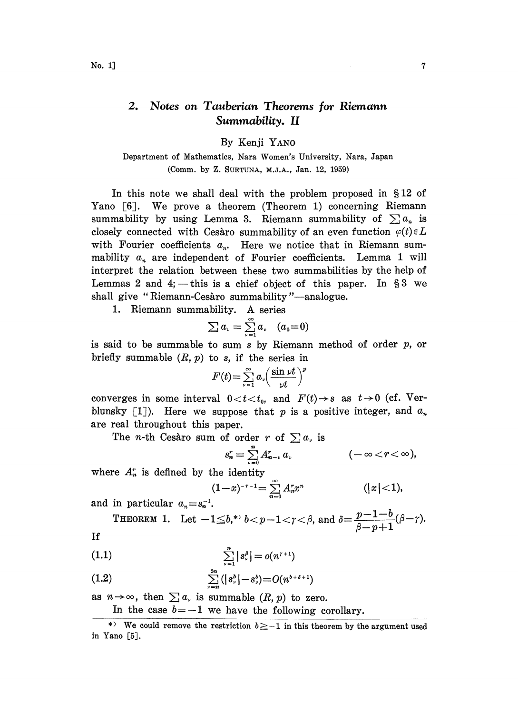## 2. Notes on Tauberian Theorems for Riemann Summability. II

By Kenji YANO

Department of Mathematics, Nara Women's University, Nara, Japan (Comm. by Z. SUETUNA, M.J.A., Jan. 12, 1959)

In this note we shall deal with the problem proposed in  $$12$  of Yano  $\lceil 6 \rceil$ . We prove a theorem (Theorem 1) concerning Riemann summability by using Lemma 3. Riemann summability of  $\sum a_n$  is closely connected with Cesaro summability of an even function  $\varphi(t) \in L$ with Fourier coefficients  $a_n$ . Here we notice that in Riemann summability  $a_n$  are independent of Fourier coefficients. Lemma 1 will interpret the relation between these two summabilities by the help of Lemmas 2 and 4; — this is a chief object of this paper. In  $\S 3$  we shall give "Riemann-Cesàro summability"—analogue.

1. Riemann summability. A series

$$
\sum a_{\nu}=\sum_{\nu=1}^{\infty}a_{\nu} \quad (a_0=0)
$$

is said to be summable to sum s by Riemann method of order  $p$ , or briefly summable  $(R, p)$  to s, if the series in

$$
F(t) = \sum_{\nu=1}^{\infty} a_{\nu} \left( \frac{\sin \nu t}{\nu t} \right)^{p}
$$

converges in some interval  $0 < t < t_0$ , and  $F(t) \rightarrow s$  as  $t \rightarrow 0$  (cf. Verblunsky [1]). Here we suppose that p is a positive integer, and  $a_n$ are real throughout this paper.

The *n*-th Cesaro sum of order r of  $\sum a_r$  is

$$
s_n^r = \sum_{\nu=0}^n A_{n-\nu}^r \, a_\nu \qquad \qquad (-\infty < r < \infty)
$$

where  $A_n^r$  is defined by the identity

$$
(1-x)^{-r-1} = \sum_{n=0}^{\infty} A_n^r x^n \qquad (|x| < 1),
$$

and in particular  $a_n = s_n^{-1}$ .

THEOREM 1. Let 
$$
-1 \leq b
$$
,<sup>\*</sup>  $b < p-1 < \gamma < \beta$ , and  $\delta = \frac{p-1-b}{\beta-p+1}(\beta-\gamma)$ .  
\n[1]

If

(1.1) 
$$
\sum_{\nu=1}^{n} |s_{\nu}^{\beta}| = o(n^{\gamma+1})
$$

(1.2) 
$$
\sum_{\nu=n}^{2n} (|s_{\nu}^{b}| - s_{\nu}^{b}) = O(n^{b+\delta+1})
$$

as  $n \rightarrow \infty$ , then  $\sum a_n$  is summable  $(R, p)$  to zero. In the case  $b=-1$  we have the following corollary.

\*) We could remove the restriction  $b \geq -1$  in this theorem by the argument used in Yano [5J.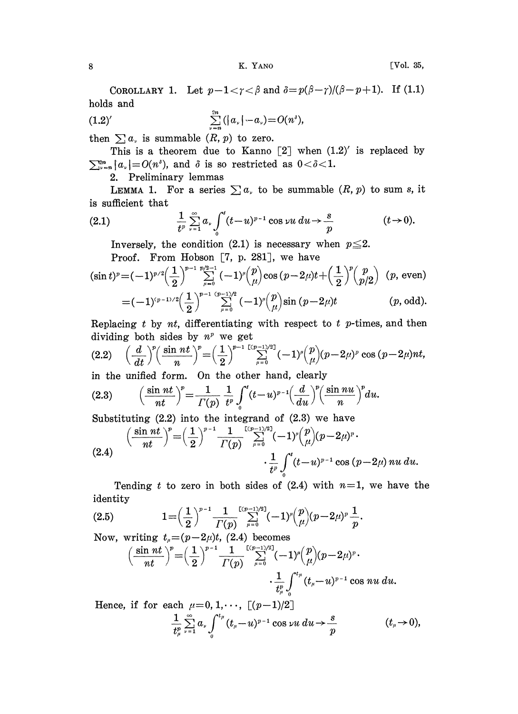COROLLARY 1. Let  $p-1 < \gamma < \beta$  and  $\delta = p(\beta-\gamma)/(\beta-p+1)$ . If (1.1) holds and

(1.2)' 
$$
\sum_{\nu=n}^{2n} (|a_{\nu}| - a_{\nu}) = O(n^3),
$$

then  $\sum a_r$  is summable  $(R, p)$  to zero.

This is a theorem due to Kanno  $[2]$  when  $(1.2)'$  is replaced by  $\sum_{\nu=n}^{\infty} |a_{\nu}| = O(n^{\delta})$ , and  $\delta$  is so restricted as  $0 < \delta < 1$ .

2. Preliminary lemmas

LEMMA 1. For a series  $\sum a_r$  to be summable  $(R, p)$  to sum s, it is sufficient that

is sufficient that  
\n(2.1) 
$$
\frac{1}{t^p} \sum_{\nu=1}^{\infty} a_{\nu} \int_0^t (t-u)^{p-1} \cos \nu u \, du \to \frac{s}{p}
$$
\n(1.1) Inversely, the condition (2.1) is necessary when  $p \leq 2$ .

Proof. From Hobson [7, p. 281], we have

$$
(\sin t)^p = (-1)^{p/2} \left(\frac{1}{2}\right)^{p-1} \sum_{\mu=0}^{p/2-1} (-1)^{\mu} {p \choose \mu} \cos (p-2\mu)t + \left(\frac{1}{2}\right)^p {p \choose p/2} (p, \text{ even})
$$
  
=  $(-1)^{(p-1)/2} \left(\frac{1}{2}\right)^{p-1} \sum_{\mu=0}^{(p-1)/2} (-1)^{\mu} {p \choose \mu} \sin (p-2\mu)t$  (*p*, odd).

Replacing  $t$  by  $nt$ , differentiating with respect to  $t$  p-times, and then dividing both sides by  $n^p$  we get

(2.2) 
$$
\left(\frac{d}{dt}\right)^p \left(\frac{\sin nt}{n}\right)^p = \left(\frac{1}{2}\right)^{p-1} \sum_{\mu=0}^{\lfloor (p-1)/2 \rfloor} (-1)^{\mu} {p \choose \mu} (p-2\mu)^p \cos (p-2\mu) nt,
$$

in the unified form. On the other hand, clearly

(2.3) 
$$
\left(\frac{\sin nt}{nt}\right)^{p} = \frac{1}{\Gamma(p)} \frac{1}{t^{p}} \int_{0}^{t} (t-u)^{p-1} \left(\frac{d}{du}\right)^{p} \left(\frac{\sin nu}{n}\right)^{p} du.
$$

Substituting (2.2) into the integrand of (2.3) we have  
\n
$$
\left(\frac{\sin nt}{nt}\right)^p = \left(\frac{1}{2}\right)^{p-1} \frac{1}{\Gamma(p)} \sum_{\mu=0}^{\lfloor (p-1)/2 \rfloor} (-1)^{\mu} {p \choose \mu} (p-2\mu)^p.
$$
\n(2.4) 
$$
\cdot \frac{1}{t^p} \int_0^t (t-u)^{p-1} \cos (p-2\mu) \, du \, du.
$$

Tending t to zero in both sides of  $(2.4)$  with  $n=1$ , we have the identity

(2.5) 
$$
1 = \left(\frac{1}{2}\right)^{p-1} \frac{1}{\Gamma(p)} \sum_{\mu=0}^{\lfloor (p-1)/2 \rfloor} (-1)^{\mu} {p \choose \mu} (p-2\mu)^p \frac{1}{p}.
$$
Now, writing  $t_{\mu} = (p-2\mu)t$ , (2.4) becomes

$$
m, \text{ writing } t_{\mu} = (p - 2\mu)t, (2.4) \text{ becomes}
$$
\n
$$
\left(\frac{\sin nt}{nt}\right)^p = \left(\frac{1}{2}\right)^{p-1} \frac{1}{\Gamma(p)} \sum_{\mu=0}^{\lfloor (p-1)/2 \rfloor} (-1)^{\mu} {p \choose \mu} (p - 2\mu)^p.
$$
\n
$$
\frac{1}{t_{\mu}^p} \int_0^{t_{\mu}} (t_{\mu} - u)^{p-1} \cos nu \, du.
$$

Hence, if for each  $\mu=0, 1, \dots$ ,  $[(p-1)/2]$  $\frac{1}{t_{\mu}^{p}}\sum_{\nu=1}^{\infty}a_{\nu}\int_{0}^{t_{\mu}}(t_{\mu}-u)^{p-1}\cos{\nu u}\,du\to\frac{s}{p}$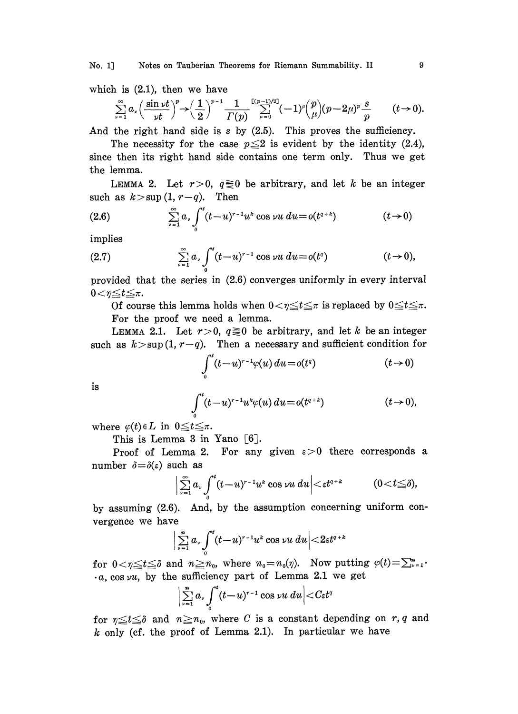No. 1] Notes on Tauberian Theorems for Riemann Summability. II 9

which is (2.1), then we have  
\n
$$
\sum_{\nu=1}^{\infty} a_{\nu} \left( \frac{\sin \nu t}{\nu t} \right)^p \rightarrow \left( \frac{1}{2} \right)^{p-1} \frac{1}{\Gamma(p)} \sum_{\mu=0}^{\lfloor (p-1)/2 \rfloor} (-1)^{\mu} {p \choose \mu} (p-2\mu)^p \frac{s}{p}
$$
\n
$$
\text{And the field has a right, is a line (2.5). This means the configuration on the right.}
$$

And the right hand side is s by  $(2.5)$ . This proves the sufficiency.

The necessity for the case  $p \leq 2$  is evident by the identity (2.4), since then its right hand side contains one term only. Thus we get the lemma.

LEMMA 2. Let  $r>0$ ,  $q\geq 0$  be arbitrary, and let k be an integer such as  $k>sup(1, r-q)$ . Then

(2.6) 
$$
\sum_{\nu=1}^{\infty} a_{\nu} \int_{0}^{t} (t-u)^{r-1} u^{k} \cos \nu u \, du = o(t^{q+k}) \qquad (t \to 0)
$$
implies

implies

(2.7) 
$$
\sum_{\nu=1}^{\infty} a_{\nu} \int_{0}^{t} (t-u)^{r-1} \cos \nu u \, du = o(t^{q}) \qquad (t \to 0),
$$

provided that the series in (2.6) converges uniformly in every interval  $0 < \eta \leq t \leq \pi$ .<br>Of course this lemma holds when  $0 < \eta \leq t \leq \pi$  is replaced by  $0 \leq t \leq \pi$ .

For the proof we need a lemma.

LEMMA 2.1. Let  $r>0$ ,  $q\geq0$  be arbitrary, and let k be an integer such as  $k > \sup(1, r-q)$ . Then a necessary and sufficient condition for

$$
\int_0^t (t-u)^{r-1} \varphi(u) du = o(t^q) \qquad \qquad (t \to 0)
$$

is

$$
\int_0^t (t-u)^{r-1} u^k \varphi(u) du = o(t^{q+k}) \qquad (t \to 0),
$$

where  $\varphi(t) \in L$  in  $0 \le t \le \pi$ .

This is Lemma 3 in Yano  $[6]$ .

Proof of Lemma 2. For any given  $\varepsilon>0$  there corresponds a number  $\delta = \delta(\varepsilon)$  such as

$$
\Big|\sum_{\nu=1}^{\infty}a_{\nu}\int_{0}^{t}(t-u)^{r-1}u^{k}\cos\nu u\ du\Big|<\varepsilon t^{q+k}\qquad (0
$$

by assuming (2.6). And, by the assumption concerning uniform convergence we have

$$
\Big|\sum_{\nu=1}^n a_\nu\int_0^t (t\!-\!u)^{r-1}u^k\cos\nu u\,du\Big|\!<\!2\varepsilon t^{q+k}
$$

for  $0 < \eta \leq t \leq \delta$  and  $n \geq n_0$ , where  $n_0 = n_0(\eta)$ . Now putting  $\varphi(t) = \sum_{\nu=1}^n$ .  $a_{\nu}$  cos  $\nu u$ , by the sufficiency part of Lemma 2.1 we get

$$
\Big|\sum_{\nu=1}^n a_\nu\int_0^t (t-u)^{r-1}\cos \nu u\ du\Big|
$$

for  $n \le t \le \delta$  and  $n \ge n_0$ , where C is a constant depending on r, q and  $k$  only (cf. the proof of Lemma 2.1). In particular we have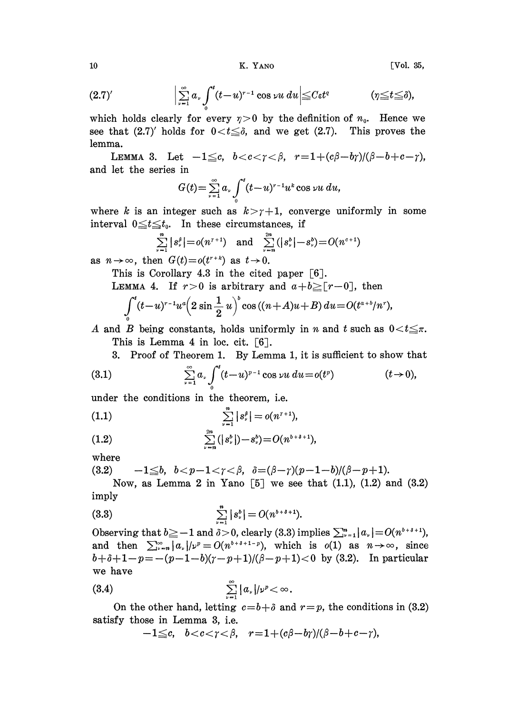K. YANO

[Vol. 35,

$$
(2.7)'\qquad \qquad \Big|\sum_{\nu=1}^{\infty}a_{\nu}\int_0^t(t-u)^{r-1}\cos\nu u\,du\Big|\leq C\varepsilon t^q\qquad \qquad (\eta\leq t\leq\delta),
$$

which holds clearly for every  $\eta > 0$  by the definition of  $n_0$ . Hence we see that  $(2.7)'$  holds for  $0 < t \leq \delta$ , and we get  $(2.7)$ . This proves the lemma.

LEMMA 3. Let  $-1 \leq c$ ,  $b < c < \gamma < \beta$ ,  $r = 1 + (c\beta - b\gamma)/(\beta - b + c - \gamma)$ , and let the series in

$$
G(t) = \sum_{\nu=1}^{\infty} a_{\nu} \int_{0}^{t} (t-u)^{r-1} u^k \cos \nu u \ du,
$$

where k is an integer such as  $k > \gamma + 1$ , converge uniformly in some interval  $0 \le t \le t_0$ . In these circumstances, if

$$
\sum_{\nu=1}^n |s_{\nu}^b| = o(n^{\nu+1}) \text{ and } \sum_{\nu=n}^{2n} (|s_{\nu}^b| - s_{\nu}^b) = O(n^{\nu+1})
$$

as  $n \to \infty$ , then  $G(t) = o(t^{r+k})$  as  $t \to 0$ .

This is Corollary 4.3 in the cited paper  $[6]$ .

LEMMA 4. If  $r>0$  is arbitrary and  $a+b \geq [r-0]$ , then

$$
\int_0^t (t-u)^{r-1} u^a \Big(2\sin\frac{1}{2}u\Big)^b \cos\left((n+A)u+B\right) du = O(t^{a+b}/n^r),
$$

A and B being constants, holds uniformly in n and t such as  $0 < t \leq \pi$ . This is Lemma 4 in loc. cit.  $\lceil 6 \rceil$ .

3. Proof of Theorem 1. By Lemma 1, it is sufficient to show that

(3.1) 
$$
\sum_{\nu=1}^{\infty} a_{\nu} \int_{0}^{t} (t-u)^{p-1} \cos \nu u \, du = o(t^{p}) \qquad (t \to 0),
$$

under the conditions in the theorem, i.e.

(1.1) 
$$
\sum_{\nu=1}^n |s_{\nu}^{\beta}| = o(n^{r+1}),
$$

(1.2) 
$$
\sum_{\nu=n}^{2n} (|s_{\nu}^{b}|) - s_{\nu}^{b} = O(n^{b+\delta+1}),
$$

where

(3.2) 
$$
-1 \leq b, b < p-1 < r < \beta, \delta = (\beta-\gamma)(p-1-b)/(\beta-p+1).
$$

Now, as Lemma 2 in Yano [5] we see that  $(1.1)$ ,  $(1.2)$  and  $(3.2)$ imply

(3.3) 
$$
\sum_{\nu=1}^{n} |s_{\nu}^{b}| = O(n^{b+\delta+1}).
$$

Observing that  $b \ge -1$  and  $\delta > 0$ , clearly (3.3) implies  $\sum_{\nu=1}^m |a_{\nu}| = O(n^{\delta + \delta + 1})$ , and then  $\sum_{\nu=n}^{\infty} |a_{\nu}|/\nu^{p} = O(n^{b+\delta+1-p})$ , which is  $o(1)$  as  $n \to \infty$ , since  $b+\delta+1-p=-(p-1-b)(r-p+1)/(\beta-p+1)<0$  by (3.2). In particular we have

$$
(3.4) \qquad \qquad \sum_{\nu=1}^{\infty} |a_{\nu}|/\nu^{\nu} < \infty.
$$

On the other hand, letting  $c = b + \delta$  and  $r = p$ , the conditions in (3.2) satisfy those in Lemma 3, i.e.

$$
-1{\leq}c, \quad b{<<}\gamma{<}\beta, \quad r{=}1{+(}c\beta{-}b\gamma{)}(\beta{-}b{+}c{-}\gamma),
$$

 $10$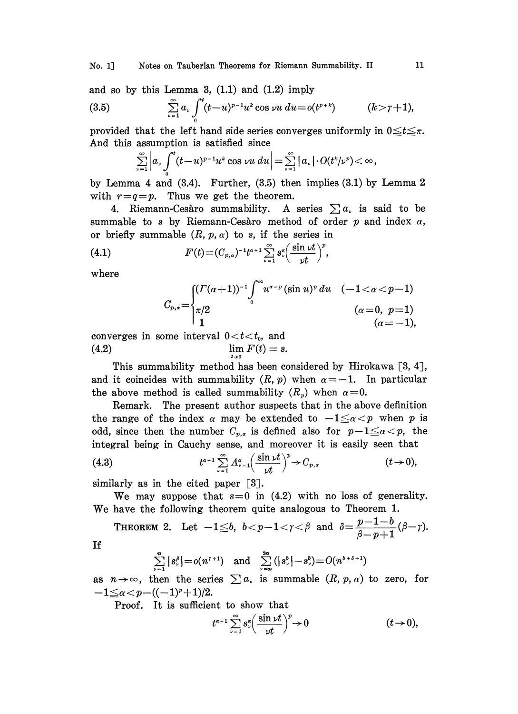and so by this Lemma 3,  $(1.1)$  and  $(1.2)$  imply (3.5)  $\sum_{\nu=1}^{\infty} a_{\nu} \int_{0}^{t} (t-u)^{p-1} u^k \cos \nu u \, du = o(t^{p+k})$   $(k > r+1),$ 

provided that the left hand side series converges uniformly in  $0 \le t \le \pi$ . And this assumption is satisfied since

$$
\sum_{\nu=1}^{\infty}\Big|a_{\nu}\int_{0}^{t}(t-u)^{p-1}u^{k}\cos\nu u\,du\Big|=\sum_{\nu=1}^{\infty}\big|a_{\nu}\big|\cdot O(t^{k}/\nu^{p})<\infty,
$$

by Lemma 4 and  $(3.4)$ . Further,  $(3.5)$  then implies  $(3.1)$  by Lemma 2 with  $r=q=p$ . Thus we get the theorem.

4. Riemann-Cesàro summability. A series  $\sum a_{\nu}$  is said to be summable to s by Riemann-Cesaro method of order  $p$  and index  $\alpha$ , or briefly summable  $(R, p, \alpha)$  to s, if the series in

(4.1) 
$$
F(t)=(C_{p,q})^{-1}t^{a+1}\sum_{\nu=1}^{\infty} s_{\nu}^a\left(\frac{\sin \nu t}{\nu t}\right)^p,
$$

where

$$
C_{p, \acute{a}}\! =\!\! \begin{cases} (\varGamma(\alpha\!+\!1))^{-1} \!\int\limits_0^\infty \!\! u^{\alpha-p}\,(\sin u)^p\,du & (-1\!<\!\alpha\!<\!p\!-\!1) \\ \pi/2 & (\alpha\!=\!0,\,\,p\!=\!1) \\ {\bf 1} & (\alpha\!=\!-1), \end{cases}
$$

converges in some interval  $0 < t < t_0$ , and (4.2)  $\lim F(t) = s.$  $t\rightarrow 0$ 

This summability method has been considered by Hirokawa [3, 4], and it coincides with summability  $(R, p)$  when  $\alpha = -1$ . In particular the above method is called summability  $(R_n)$  when  $\alpha=0$ .

Remark. The present author suspects that in the above definition the range of the index  $\alpha$  may be extended to  $-1 \le \alpha < p$  when p is odd, since then the number  $C_{p,q}$  is defined also for  $p-1 \leq \alpha < p$ , the integral being in Cauchy sense, and moreover it is easily seen that

$$
(4.3) \t t^{a+1} \sum_{\nu=1}^{\infty} A_{\nu-1}^{\alpha} \left( \frac{\sin \nu t}{\nu t} \right)^p \to C_{p,\alpha} \t (t \to 0),
$$

similarly as in the cited paper [3].

We may suppose that  $s=0$  in (4.2) with no loss of generality. We have the following theorem quite analogous to Theorem 1.

THEOREM 2. Let  $-1 \leq b$ ,  $b < p-1 < \gamma < \beta$  and  $\delta = \frac{p-1-b}{\beta-p+1}(\beta-\gamma)$ .

$$
\rm If
$$

$$
\sum_{\nu=1}^n |s_{\nu}^{\delta}| = o(n^{\nu+1}) \quad \text{and} \quad \sum_{\nu=n}^{2n} (|s_{\nu}^{\delta}| - s_{\nu}^{\delta}) = O(n^{b+\delta+1})
$$

as  $n \to \infty$ , then the series  $\sum a_n$  is summable  $(R, p, \alpha)$  to zero, for  $-1 \leq \alpha < p-((-1)^p+1)/2.$ 

Proof. It is sufficient to show that

$$
t^{\alpha+1}\sum_{\nu=1}^{\infty} s_{\nu}^{\alpha}\left(\frac{\sin \nu t}{\nu t}\right)^{p} \to 0 \qquad (t \to 0),
$$